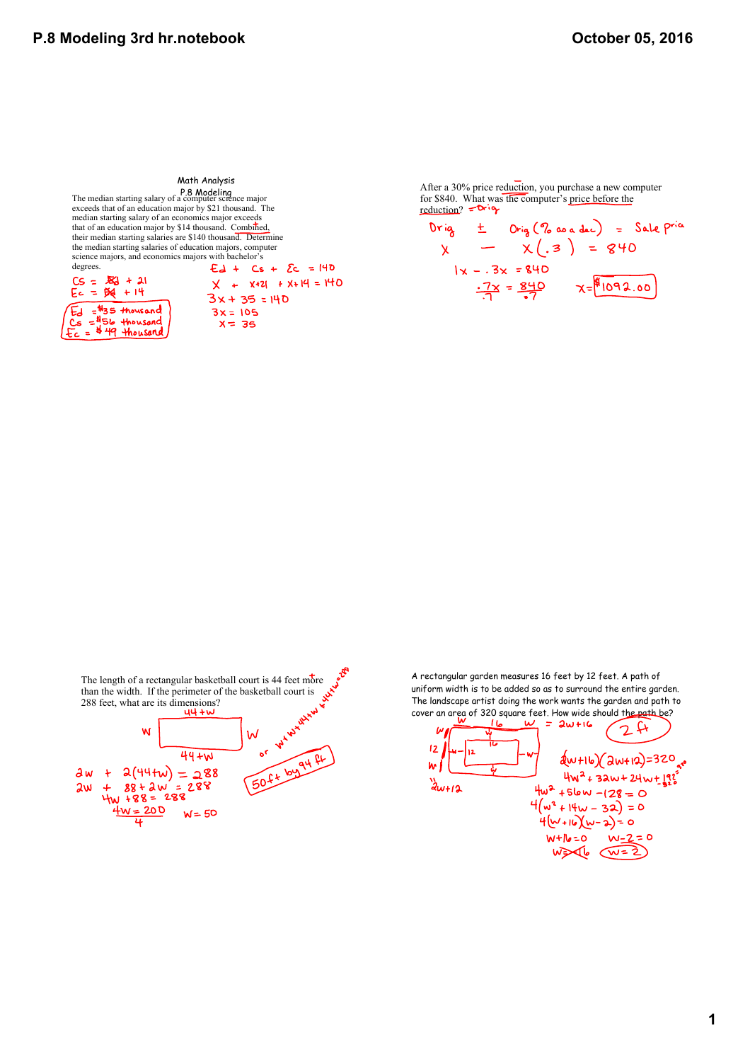Math Analysis P.8 Modeling The median starting salary of a computer science major exceeds that of an education major by \$21 thousand. The median starting salary of an economics major exceeds that of an education major by \$14 thousand. Combined, their median starting salaries are \$140 thousand. Determine the median starting salaries of education majors, computer science majors, and economics majors with bachelor's degrees.  $E_d + Cs + Ec = 140$  $CS = 56 + 21$ <br> $Ec = 56 + 14$  $X + X+21 + X+14 = 140$  $3x + 35 = 140$  $E_d = $35$  thousand  $3x = 105$ <br> $x = 35$  $Cs = 156$  thousand # 49 thousand  $\equiv$ 

After a 30% price reduction, you purchase a new computer for \$840. What was the computer's price before the reduction?  $=$ Drig

rig  $\pm$  Orig(% as a dec) = Sale pria<br>x - x(.3) = 840 Drig  $1x - .3x = 840$ <br> $\frac{.7x}{.7} = \frac{840}{.7}$   $x = \frac{1092.00}{.7}$ 



A rectangular garden measures 16 feet by 12 feet. A path of uniform width is to be added so as to surround the entire garden. The landscape artist doing the work wants the garden and path to cover an area of 320 square feet. How wide should the path be?

 $= 2w + 16$  $24$  $12$ ے ا  $d(w+16)(2w+12)=320$ <sub>ar</sub>e w  $4w^2 + 32w + 24w + 192$  $\frac{1}{2}w+12$  $4w^2 + 5lw - (28 = 0)$  $4(w^2 + 14w - 32) = 0$ <br> $4(w+16)(w-2) = 0$  $W + N = 0$ <br> $W = 2$ <br> $W \ge 4$ <br> $W = 2$